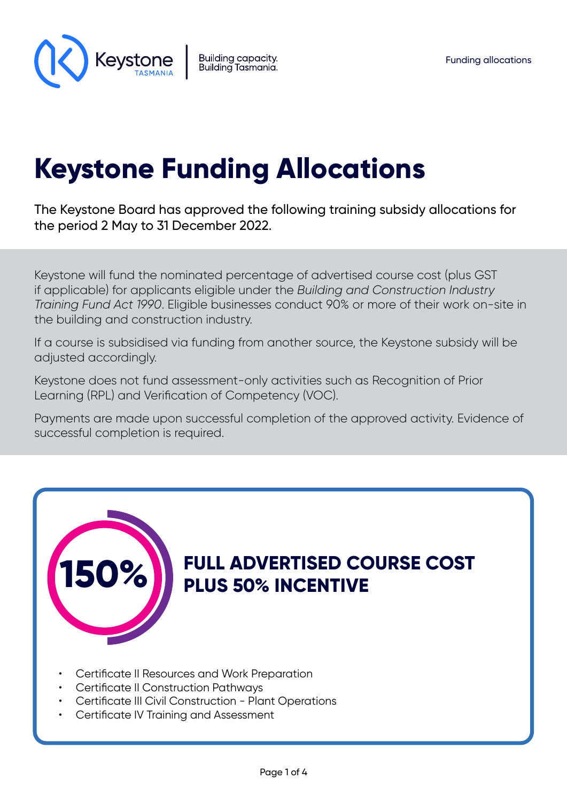

# **Keystone Funding Allocations**

The Keystone Board has approved the following training subsidy allocations for the period 2 May to 31 December 2022.

Keystone will fund the nominated percentage of advertised course cost (plus GST if applicable) for applicants eligible under the *Building and Construction Industry Training Fund Act 1990*. Eligible businesses conduct 90% or more of their work on-site in the building and construction industry.

If a course is subsidised via funding from another source, the Keystone subsidy will be adjusted accordingly.

Keystone does not fund assessment-only activities such as Recognition of Prior Learning (RPL) and Verification of Competency (VOC).

Payments are made upon successful completion of the approved activity. Evidence of successful completion is required.



- Certificate III Civil Construction Plant Operations
- Certificate IV Training and Assessment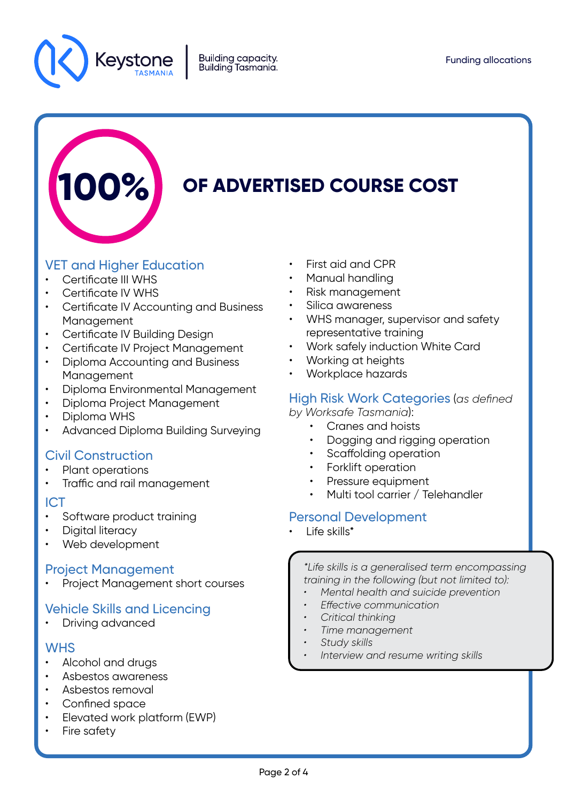



# **0F ADVERTISED COURSE COST**

# VET and Higher Education

- Certificate III WHS
- Certificate IV WHS
- Certificate IV Accounting and Business **Management**
- Certificate IV Building Design
- Certificate IV Project Management
- Diploma Accounting and Business Management
- Diploma Environmental Management
- Diploma Project Management
- Diploma WHS
- Advanced Diploma Building Surveying

# Civil Construction

- Plant operations
- Traffic and rail management

#### ICT

- Software product training
- Digital literacy
- Web development

## Project Management

• Project Management short courses

# Vehicle Skills and Licencing

Driving advanced

## **WHS**

- Alcohol and drugs
- Asbestos awareness
- Asbestos removal
- Confined space
- Elevated work platform (EWP)
- Fire safety
- First aid and CPR
- Manual handling
- Risk management
- Silica awareness
- WHS manager, supervisor and safety representative training
- Work safely induction White Card
- Working at heights
- Workplace hazards

## High Risk Work Categories (*as defined*

- *by Worksafe Tasmania*):
	- Cranes and hoists
	- Dogging and rigging operation
	- Scaffolding operation
	- Forklift operation
	- Pressure equipment
	- Multi tool carrier / Telehandler

## Personal Development

Life skills\*

*\*Life skills is a generalised term encompassing training in the following (but not limited to):*

- *• Mental health and suicide prevention*
- *• Effective communication*
- *• Critical thinking*
- *• Time management*
- *• Study skills*
- *• Interview and resume writing skills*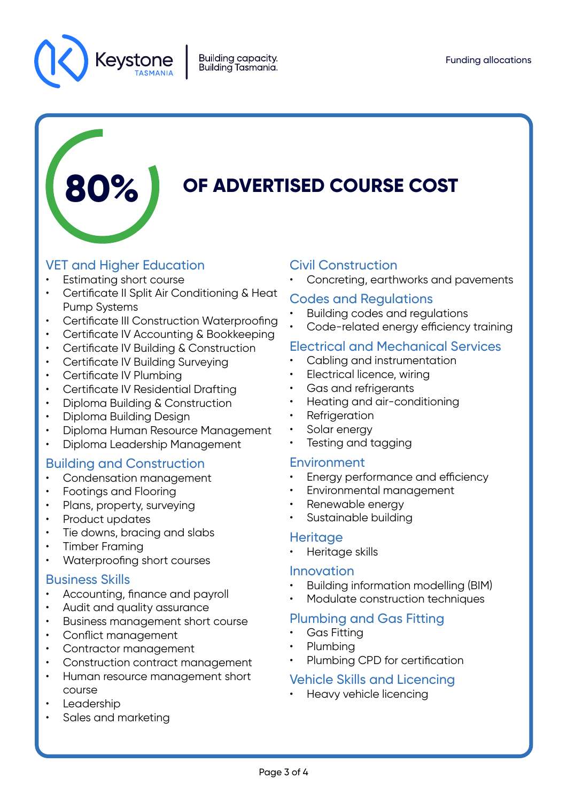

# **80% OF ADVERTISED COURSE COST**

# VET and Higher Education

- Estimating short course
- Certificate II Split Air Conditioning & Heat Pump Systems
- Certificate III Construction Waterproofing
- Certificate IV Accounting & Bookkeeping
- Certificate IV Building & Construction
- Certificate IV Building Surveying
- Certificate IV Plumbing
- Certificate IV Residential Drafting
- Diploma Building & Construction
- Diploma Building Design
- Diploma Human Resource Management
- Diploma Leadership Management

# Building and Construction

- Condensation management
- Footings and Flooring
- Plans, property, surveying
- Product updates
- Tie downs, bracing and slabs
- Timber Framing
- Waterproofing short courses

## Business Skills

- Accounting, finance and payroll
- Audit and quality assurance
- Business management short course
- Conflict management
- Contractor management
- Construction contract management
- Human resource management short course
- **Leadership**
- Sales and marketing

# Civil Construction

• Concreting, earthworks and pavements

#### Codes and Regulations

- Building codes and regulations
- Code-related energy efficiency training

# Electrical and Mechanical Services

- Cabling and instrumentation
- Electrical licence, wiring
- Gas and refrigerants
- Heating and air-conditioning
- **Refrigeration**
- Solar energy
- Testing and tagging

## Environment

- Energy performance and efficiency
- Environmental management
- Renewable energy
- Sustainable building

#### **Heritage**

• Heritage skills

#### Innovation

- Building information modelling (BIM)
- Modulate construction techniques

## Plumbing and Gas Fitting

- Gas Fitting
- Plumbing
- Plumbing CPD for certification

# Vehicle Skills and Licencing

• Heavy vehicle licencing